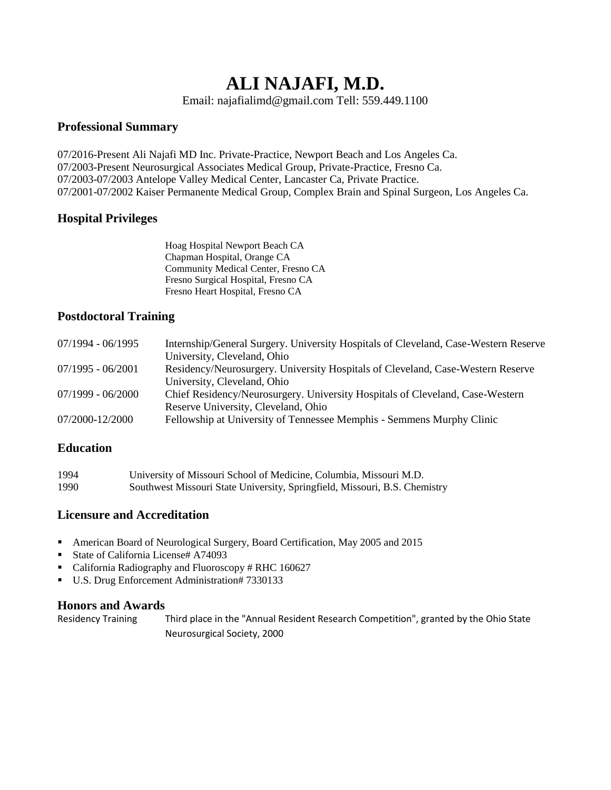# **ALI NAJAFI, M.D.**

Email: najafialimd@gmail.com Tell: 559.449.1100

### **Professional Summary**

07/2016-Present Ali Najafi MD Inc. Private-Practice, Newport Beach and Los Angeles Ca. 07/2003-Present Neurosurgical Associates Medical Group, Private-Practice, Fresno Ca. 07/2003-07/2003 Antelope Valley Medical Center, Lancaster Ca, Private Practice. 07/2001-07/2002 Kaiser Permanente Medical Group, Complex Brain and Spinal Surgeon, Los Angeles Ca.

#### **Hospital Privileges**

| Hoag Hospital Newport Beach CA      |
|-------------------------------------|
| Chapman Hospital, Orange CA         |
| Community Medical Center, Fresno CA |
| Fresno Surgical Hospital, Fresno CA |
| Fresno Heart Hospital, Fresno CA    |
|                                     |

#### **Postdoctoral Training**

| 07/1994 - 06/1995   | Internship/General Surgery. University Hospitals of Cleveland, Case-Western Reserve<br>University, Cleveland, Ohio |
|---------------------|--------------------------------------------------------------------------------------------------------------------|
| $07/1995 - 06/2001$ | Residency/Neurosurgery. University Hospitals of Cleveland, Case-Western Reserve                                    |
| 07/1999 - 06/2000   | University, Cleveland, Ohio<br>Chief Residency/Neurosurgery. University Hospitals of Cleveland, Case-Western       |
| 07/2000-12/2000     | Reserve University, Cleveland, Ohio<br>Fellowship at University of Tennessee Memphis - Semmens Murphy Clinic       |
|                     |                                                                                                                    |

#### **Education**

| 1994 | University of Missouri School of Medicine, Columbia, Missouri M.D.         |
|------|----------------------------------------------------------------------------|
| 1990 | Southwest Missouri State University, Springfield, Missouri, B.S. Chemistry |

## **Licensure and Accreditation**

- American Board of Neurological Surgery, Board Certification, May 2005 and 2015
- State of California License# A74093
- California Radiography and Fluoroscopy # RHC 160627
- U.S. Drug Enforcement Administration# 7330133

#### **Honors and Awards**

Residency Training Third place in the "Annual Resident Research Competition", granted by the Ohio State Neurosurgical Society, 2000